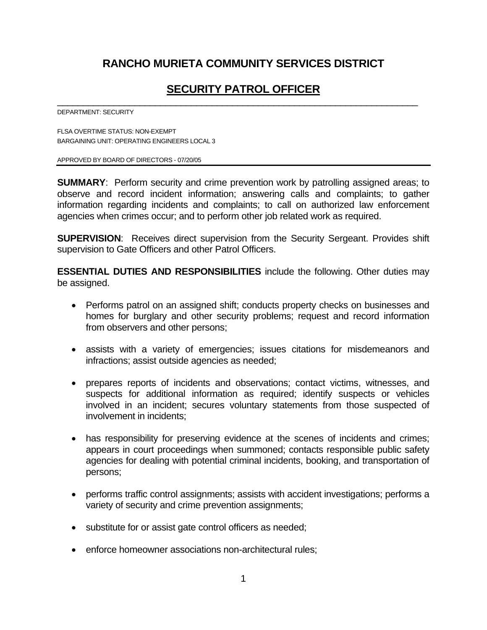# **RANCHO MURIETA COMMUNITY SERVICES DISTRICT**

# **SECURITY PATROL OFFICER**

\_\_\_\_\_\_\_\_\_\_\_\_\_\_\_\_\_\_\_\_\_\_\_\_\_\_\_\_\_\_\_\_\_\_\_\_\_\_\_\_\_\_\_\_\_\_\_\_\_\_\_\_\_\_\_\_\_\_\_\_\_\_\_\_\_\_\_\_\_\_

DEPARTMENT: SECURITY

FLSA OVERTIME STATUS: NON-EXEMPT BARGAINING UNIT: OPERATING ENGINEERS LOCAL 3

APPROVED BY BOARD OF DIRECTORS - 07/20/05

**SUMMARY:** Perform security and crime prevention work by patrolling assigned areas; to observe and record incident information; answering calls and complaints; to gather information regarding incidents and complaints; to call on authorized law enforcement agencies when crimes occur; and to perform other job related work as required.

**SUPERVISION**: Receives direct supervision from the Security Sergeant. Provides shift supervision to Gate Officers and other Patrol Officers.

**ESSENTIAL DUTIES AND RESPONSIBILITIES** include the following. Other duties may be assigned.

- Performs patrol on an assigned shift; conducts property checks on businesses and homes for burglary and other security problems; request and record information from observers and other persons;
- assists with a variety of emergencies; issues citations for misdemeanors and infractions; assist outside agencies as needed;
- prepares reports of incidents and observations; contact victims, witnesses, and suspects for additional information as required; identify suspects or vehicles involved in an incident; secures voluntary statements from those suspected of involvement in incidents;
- has responsibility for preserving evidence at the scenes of incidents and crimes; appears in court proceedings when summoned; contacts responsible public safety agencies for dealing with potential criminal incidents, booking, and transportation of persons;
- performs traffic control assignments; assists with accident investigations; performs a variety of security and crime prevention assignments;
- substitute for or assist gate control officers as needed;
- enforce homeowner associations non-architectural rules;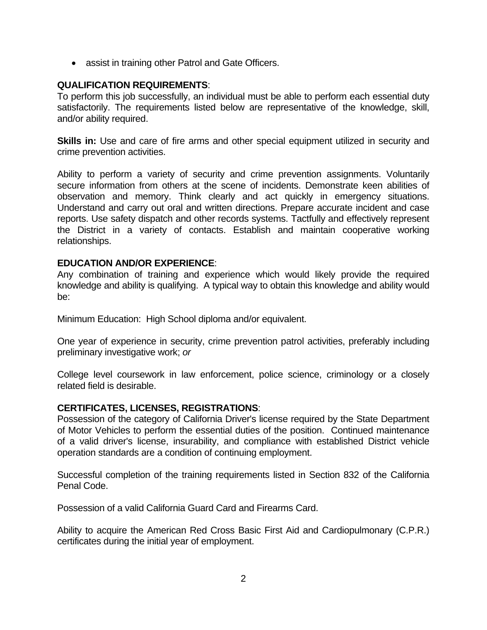• assist in training other Patrol and Gate Officers.

## **QUALIFICATION REQUIREMENTS**:

To perform this job successfully, an individual must be able to perform each essential duty satisfactorily. The requirements listed below are representative of the knowledge, skill, and/or ability required.

**Skills in:** Use and care of fire arms and other special equipment utilized in security and crime prevention activities.

Ability to perform a variety of security and crime prevention assignments. Voluntarily secure information from others at the scene of incidents. Demonstrate keen abilities of observation and memory. Think clearly and act quickly in emergency situations. Understand and carry out oral and written directions. Prepare accurate incident and case reports. Use safety dispatch and other records systems. Tactfully and effectively represent the District in a variety of contacts. Establish and maintain cooperative working relationships.

### **EDUCATION AND/OR EXPERIENCE**:

Any combination of training and experience which would likely provide the required knowledge and ability is qualifying. A typical way to obtain this knowledge and ability would be:

Minimum Education: High School diploma and/or equivalent.

One year of experience in security, crime prevention patrol activities, preferably including preliminary investigative work; *or* 

College level coursework in law enforcement, police science, criminology or a closely related field is desirable.

#### **CERTIFICATES, LICENSES, REGISTRATIONS**:

Possession of the category of California Driver's license required by the State Department of Motor Vehicles to perform the essential duties of the position. Continued maintenance of a valid driver's license, insurability, and compliance with established District vehicle operation standards are a condition of continuing employment.

Successful completion of the training requirements listed in Section 832 of the California Penal Code.

Possession of a valid California Guard Card and Firearms Card.

Ability to acquire the American Red Cross Basic First Aid and Cardiopulmonary (C.P.R.) certificates during the initial year of employment.